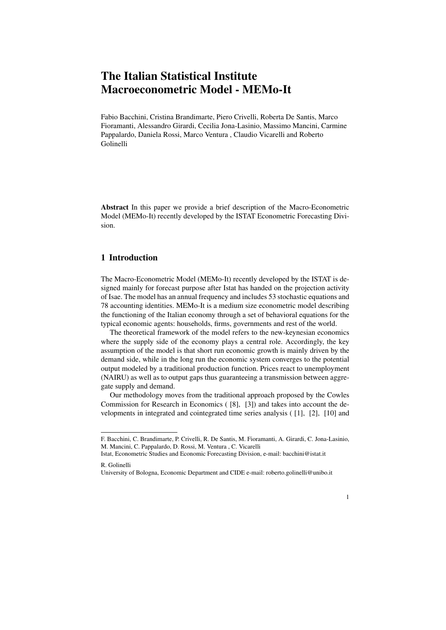## The Italian Statistical Institute Macroeconometric Model - MEMo-It

Fabio Bacchini, Cristina Brandimarte, Piero Crivelli, Roberta De Santis, Marco Fioramanti, Alessandro Girardi, Cecilia Jona-Lasinio, Massimo Mancini, Carmine Pappalardo, Daniela Rossi, Marco Ventura , Claudio Vicarelli and Roberto Golinelli

Abstract In this paper we provide a brief description of the Macro-Econometric Model (MEMo-It) recently developed by the ISTAT Econometric Forecasting Division.

## 1 Introduction

The Macro-Econometric Model (MEMo-It) recently developed by the ISTAT is designed mainly for forecast purpose after Istat has handed on the projection activity of Isae. The model has an annual frequency and includes 53 stochastic equations and 78 accounting identities. MEMo-It is a medium size econometric model describing the functioning of the Italian economy through a set of behavioral equations for the typical economic agents: households, firms, governments and rest of the world.

The theoretical framework of the model refers to the new-keynesian economics where the supply side of the economy plays a central role. Accordingly, the key assumption of the model is that short run economic growth is mainly driven by the demand side, while in the long run the economic system converges to the potential output modeled by a traditional production function. Prices react to unemployment (NAIRU) as well as to output gaps thus guaranteeing a transmission between aggregate supply and demand.

Our methodology moves from the traditional approach proposed by the Cowles Commission for Research in Economics ( [8], [3]) and takes into account the developments in integrated and cointegrated time series analysis ( [1], [2], [10] and

1

F. Bacchini, C. Brandimarte, P. Crivelli, R. De Santis, M. Fioramanti, A. Girardi, C. Jona-Lasinio, M. Mancini, C. Pappalardo, D. Rossi, M. Ventura , C. Vicarelli

Istat, Econometric Studies and Economic Forecasting Division, e-mail: bacchini@istat.it R. Golinelli

University of Bologna, Economic Department and CIDE e-mail: roberto.golinelli@unibo.it